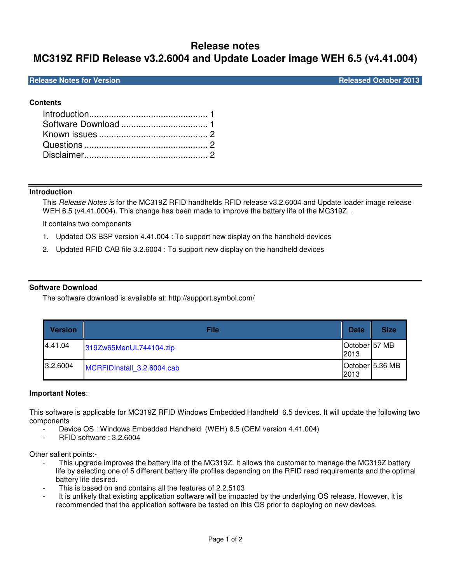# **Release notes**

# **MC319Z RFID Release v3.2.6004 and Update Loader image WEH 6.5 (v4.41.004)**

**Release Notes for Version Community Community Community Community Community Community Community Community Community** 

## **Contents**

### **Introduction**

This Release Notes is for the MC319Z RFID handhelds RFID release v3.2.6004 and Update loader image release WEH 6.5 (v4.41.0004). This change has been made to improve the battery life of the MC319Z.

It contains two components

- 1. Updated OS BSP version 4.41.004 : To support new display on the handheld devices
- 2. Updated RFID CAB file 3.2.6004 : To support new display on the handheld devices

### **Software Download**

The software download is available at: http://support.symbol.com/

| <b>Version</b> | File                       | <b>Date</b>                        | <b>Size</b>     |
|----------------|----------------------------|------------------------------------|-----------------|
| 4.41.04        | 319Zw65MenUL744104.zip     | October <sup>157</sup> MB<br>I2013 |                 |
| 3.2.6004       | MCRFIDInstall 3.2.6004.cab | 2013                               | October 5.36 MB |

### **Important Notes**:

This software is applicable for MC319Z RFID Windows Embedded Handheld 6.5 devices. It will update the following two components

- Device OS : Windows Embedded Handheld (WEH) 6.5 (OEM version 4.41.004)
- RFID software : 3.2.6004

Other salient points:-

- This upgrade improves the battery life of the MC319Z. It allows the customer to manage the MC319Z battery life by selecting one of 5 different battery life profiles depending on the RFID read requirements and the optimal battery life desired.
- This is based on and contains all the features of 2.2.5103
- It is unlikely that existing application software will be impacted by the underlying OS release. However, it is recommended that the application software be tested on this OS prior to deploying on new devices.